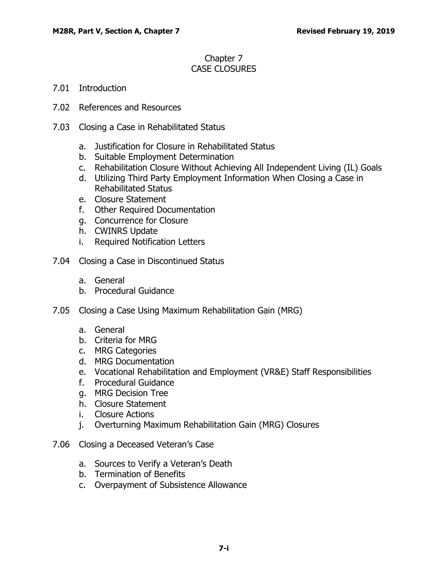## Chapter 7 CASE CLOSURES

- 7.01 [Introduction](#page-2-0)
- 7.02 [References and Resources](#page-2-1)
- 7.03 Closing [a Case in Rehabilitated](#page-2-2) Status
	- a. [Justification for Closure in Rehabilitated Status](#page-2-3)
	- b. [Suitable Employment Determination](#page-3-0)
	- c. [Rehabilitation Closure Without Achieving All Independent Living \(IL\) Goals](#page-3-1)
	- d. [Utilizing Third Party Employment Information When Closing a Case in](#page-4-0)  [Rehabilitated Status](#page-4-0)
	- e. [Closure Statement](#page-6-0)
	- f. [Other Required Documentation](#page-7-0)
	- g. [Concurrence for Closure](#page-7-1)
	- h. [CWINRS Update](#page-7-2)
	- i. [Required Notification Letters](#page-7-3)
- 7.04 [Closing a Case in Discontinued Status](#page-8-0)
	- a. [General](#page-8-1)
	- b. [Procedural Guidance](#page-10-0)
- 7.05 [Closing a Case Using Maximum Rehabilitation Gain \(MRG\)](#page-12-0)
	- a. [General](#page-12-1)
	- b. [Criteria for MRG](#page-13-0)
	- c. [MRG Categories](#page-13-1)
	- d. [MRG Documentation](#page-14-0)
	- e. [Vocational Rehabilitation and Employment \(VR&E\) Staff Responsibilities](#page-14-1)
	- f. [Procedural Guidance](#page-15-0)
	- g. [MRG Decision Tree](#page-16-0)
	- h. [Closure Statement](#page-17-0)
	- i. [Closure Actions](#page-18-0)
	- j. [Overturning Maximum Rehabilitation Gain \(MRG\) Closures](#page-18-1)
- 7.06 [Closing a Deceased Veteran's Case](#page-19-0)
	- a. [Sources to Verify a Veteran's Death](#page-19-1)
	- b. [Termination of Benefits](#page-19-2)
	- c. [Overpayment of Subsistence Allowance](#page-20-0)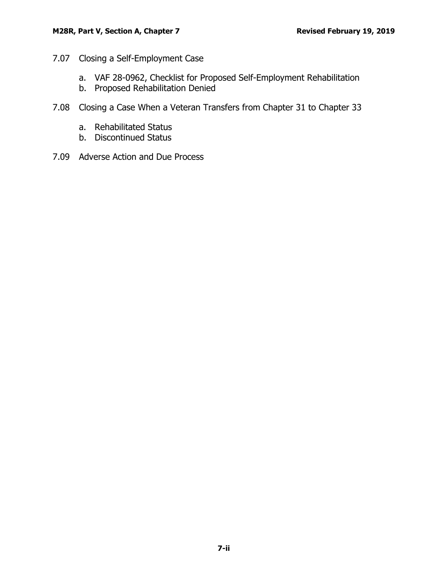- 7.07 [Closing a Self-Employment Case](#page-20-1)
	- a. [VAF 28-0962, Checklist for Proposed Self-Employment Rehabilitation](#page-20-2)
	- b. [Proposed Rehabilitation Denied](#page-21-0)
- 7.08 [Closing a Case When a Veteran Transfers from Chapter 31 to Chapter 33](#page-22-0)
	- a. [Rehabilitated Status](#page-22-1)
	- b. [Discontinued Status](#page-23-0)
- 7.09 Adverse [Action and Due Process](#page-23-1)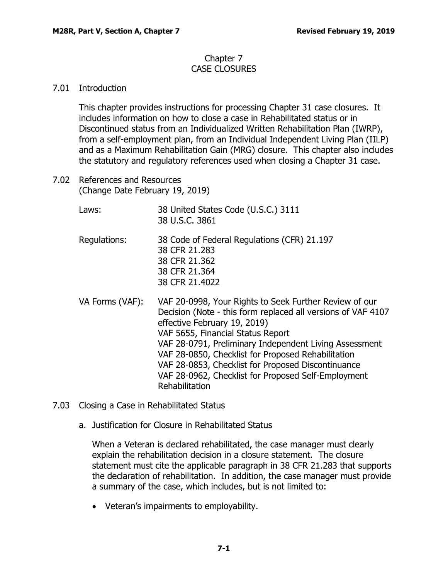## Chapter 7 CASE CLOSURES

## <span id="page-2-0"></span>7.01 Introduction

This chapter provides instructions for processing Chapter 31 case closures. It includes information on how to close a case in Rehabilitated status or in Discontinued status from an Individualized Written Rehabilitation Plan (IWRP), from a self-employment plan, from an Individual Independent Living Plan (IILP) and as a Maximum Rehabilitation Gain (MRG) closure. This chapter also includes the statutory and regulatory references used when closing a Chapter 31 case.

- <span id="page-2-1"></span>7.02 References and Resources (Change Date February 19, 2019)
	- Laws: 38 United States Code (U.S.C.) 3111 38 U.S.C. 3861
	- Regulations: 38 Code of Federal Regulations (CFR) 21.197 38 CFR 21.283 38 CFR 21.362 38 CFR 21.364 38 CFR 21.4022
	- VA Forms (VAF): VAF 20-0998, Your Rights to Seek Further Review of our Decision (Note - this form replaced all versions of VAF 4107 effective February 19, 2019) VAF 5655, Financial Status Report VAF 28-0791, Preliminary Independent Living Assessment VAF 28-0850, Checklist for Proposed Rehabilitation VAF 28-0853, Checklist for Proposed Discontinuance VAF 28-0962, Checklist for Proposed Self-Employment Rehabilitation
- <span id="page-2-3"></span><span id="page-2-2"></span>7.03 Closing a Case in Rehabilitated Status
	- a. Justification for Closure in Rehabilitated Status

When a Veteran is declared rehabilitated, the case manager must clearly explain the rehabilitation decision in a closure statement. The closure statement must cite the applicable paragraph in 38 CFR 21.283 that supports the declaration of rehabilitation. In addition, the case manager must provide a summary of the case, which includes, but is not limited to:

• Veteran's impairments to employability.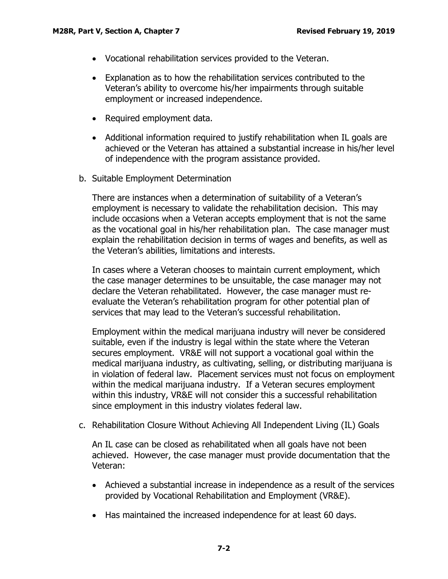- Vocational rehabilitation services provided to the Veteran.
- Explanation as to how the rehabilitation services contributed to the Veteran's ability to overcome his/her impairments through suitable employment or increased independence.
- Required employment data.
- Additional information required to justify rehabilitation when IL goals are achieved or the Veteran has attained a substantial increase in his/her level of independence with the program assistance provided.
- <span id="page-3-0"></span>b. Suitable Employment Determination

There are instances when a determination of suitability of a Veteran's employment is necessary to validate the rehabilitation decision. This may include occasions when a Veteran accepts employment that is not the same as the vocational goal in his/her rehabilitation plan. The case manager must explain the rehabilitation decision in terms of wages and benefits, as well as the Veteran's abilities, limitations and interests.

In cases where a Veteran chooses to maintain current employment, which the case manager determines to be unsuitable, the case manager may not declare the Veteran rehabilitated. However, the case manager must reevaluate the Veteran's rehabilitation program for other potential plan of services that may lead to the Veteran's successful rehabilitation.

Employment within the medical marijuana industry will never be considered suitable, even if the industry is legal within the state where the Veteran secures employment. VR&E will not support a vocational goal within the medical marijuana industry, as cultivating, selling, or distributing marijuana is in violation of federal law. Placement services must not focus on employment within the medical marijuana industry. If a Veteran secures employment within this industry, VR&E will not consider this a successful rehabilitation since employment in this industry violates federal law.

<span id="page-3-1"></span>c. Rehabilitation Closure Without Achieving All Independent Living (IL) Goals

An IL case can be closed as rehabilitated when all goals have not been achieved. However, the case manager must provide documentation that the Veteran:

- Achieved a substantial increase in independence as a result of the services provided by Vocational Rehabilitation and Employment (VR&E).
- Has maintained the increased independence for at least 60 days.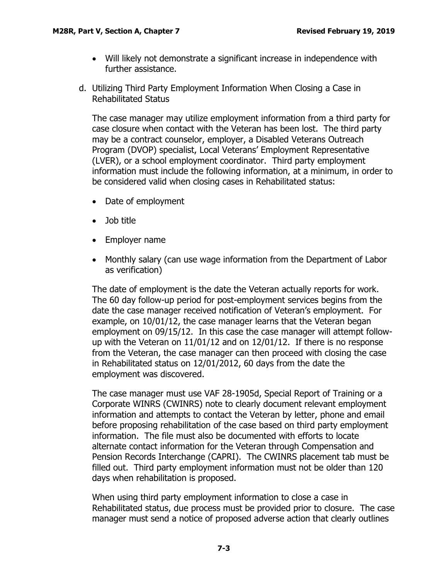- Will likely not demonstrate a significant increase in independence with further assistance.
- <span id="page-4-0"></span>d. Utilizing Third Party Employment Information When Closing a Case in Rehabilitated Status

The case manager may utilize employment information from a third party for case closure when contact with the Veteran has been lost. The third party may be a contract counselor, employer, a Disabled Veterans Outreach Program (DVOP) specialist, Local Veterans' Employment Representative (LVER), or a school employment coordinator. Third party employment information must include the following information, at a minimum, in order to be considered valid when closing cases in Rehabilitated status:

- Date of employment
- Job title
- Employer name
- Monthly salary (can use wage information from the Department of Labor as verification)

The date of employment is the date the Veteran actually reports for work. The 60 day follow-up period for post-employment services begins from the date the case manager received notification of Veteran's employment. For example, on 10/01/12, the case manager learns that the Veteran began employment on 09/15/12. In this case the case manager will attempt followup with the Veteran on 11/01/12 and on 12/01/12. If there is no response from the Veteran, the case manager can then proceed with closing the case in Rehabilitated status on 12/01/2012, 60 days from the date the employment was discovered.

The case manager must use VAF 28-1905d, Special Report of Training or a Corporate WINRS (CWINRS) note to clearly document relevant employment information and attempts to contact the Veteran by letter, phone and email before proposing rehabilitation of the case based on third party employment information. The file must also be documented with efforts to locate alternate contact information for the Veteran through Compensation and Pension Records Interchange (CAPRI). The CWINRS placement tab must be filled out. Third party employment information must not be older than 120 days when rehabilitation is proposed.

When using third party employment information to close a case in Rehabilitated status, due process must be provided prior to closure. The case manager must send a notice of proposed adverse action that clearly outlines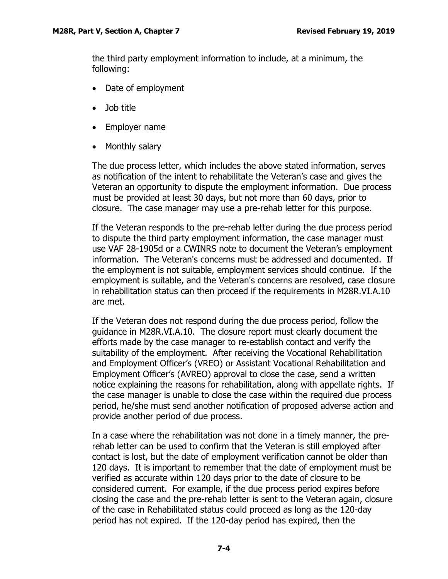the third party employment information to include, at a minimum, the following:

- Date of employment
- Job title
- Employer name
- Monthly salary

The due process letter, which includes the above stated information, serves as notification of the intent to rehabilitate the Veteran's case and gives the Veteran an opportunity to dispute the employment information. Due process must be provided at least 30 days, but not more than 60 days, prior to closure. The case manager may use a pre-rehab letter for this purpose.

If the Veteran responds to the pre-rehab letter during the due process period to dispute the third party employment information, the case manager must use VAF 28-1905d or a CWINRS note to document the Veteran's employment information. The Veteran's concerns must be addressed and documented. If the employment is not suitable, employment services should continue. If the employment is suitable, and the Veteran's concerns are resolved, case closure in rehabilitation status can then proceed if the requirements in M28R.VI.A.10 are met.

If the Veteran does not respond during the due process period, follow the guidance in M28R.VI.A.10. The closure report must clearly document the efforts made by the case manager to re-establish contact and verify the suitability of the employment. After receiving the Vocational Rehabilitation and Employment Officer's (VREO) or Assistant Vocational Rehabilitation and Employment Officer's (AVREO) approval to close the case, send a written notice explaining the reasons for rehabilitation, along with appellate rights. If the case manager is unable to close the case within the required due process period, he/she must send another notification of proposed adverse action and provide another period of due process.

In a case where the rehabilitation was not done in a timely manner, the prerehab letter can be used to confirm that the Veteran is still employed after contact is lost, but the date of employment verification cannot be older than 120 days. It is important to remember that the date of employment must be verified as accurate within 120 days prior to the date of closure to be considered current. For example, if the due process period expires before closing the case and the pre-rehab letter is sent to the Veteran again, closure of the case in Rehabilitated status could proceed as long as the 120-day period has not expired. If the 120-day period has expired, then the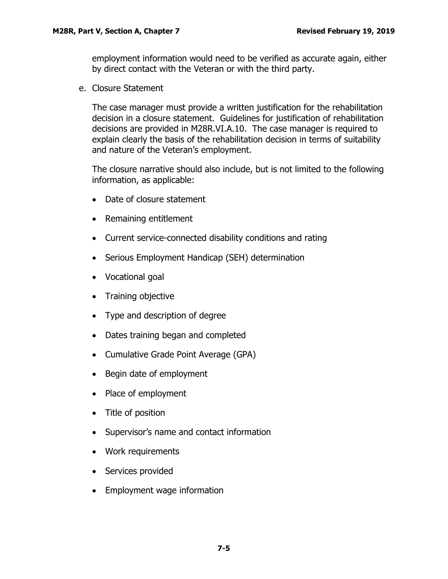employment information would need to be verified as accurate again, either by direct contact with the Veteran or with the third party.

<span id="page-6-0"></span>e. Closure Statement

The case manager must provide a written justification for the rehabilitation decision in a closure statement. Guidelines for justification of rehabilitation decisions are provided in M28R.VI.A.10. The case manager is required to explain clearly the basis of the rehabilitation decision in terms of suitability and nature of the Veteran's employment.

The closure narrative should also include, but is not limited to the following information, as applicable:

- Date of closure statement
- Remaining entitlement
- Current service-connected disability conditions and rating
- Serious Employment Handicap (SEH) determination
- Vocational goal
- Training objective
- Type and description of degree
- Dates training began and completed
- Cumulative Grade Point Average (GPA)
- Begin date of employment
- Place of employment
- Title of position
- Supervisor's name and contact information
- Work requirements
- Services provided
- Employment wage information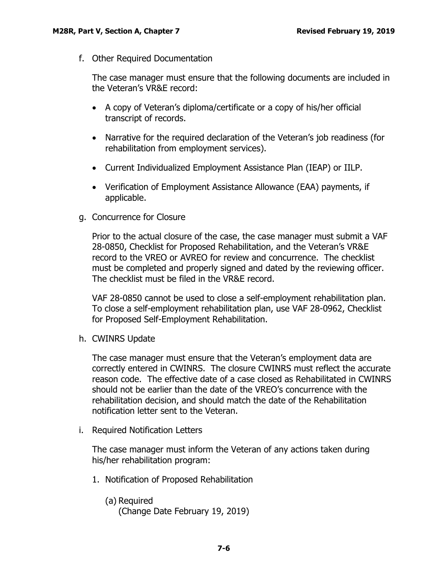<span id="page-7-0"></span>f. Other Required Documentation

The case manager must ensure that the following documents are included in the Veteran's VR&E record:

- A copy of Veteran's diploma/certificate or a copy of his/her official transcript of records.
- Narrative for the required declaration of the Veteran's job readiness (for rehabilitation from employment services).
- Current Individualized Employment Assistance Plan (IEAP) or IILP.
- Verification of Employment Assistance Allowance (EAA) payments, if applicable.
- <span id="page-7-1"></span>g. Concurrence for Closure

Prior to the actual closure of the case, the case manager must submit a VAF 28-0850, Checklist for Proposed Rehabilitation, and the Veteran's VR&E record to the VREO or AVREO for review and concurrence. The checklist must be completed and properly signed and dated by the reviewing officer. The checklist must be filed in the VR&E record.

VAF 28-0850 cannot be used to close a self-employment rehabilitation plan. To close a self-employment rehabilitation plan, use VAF 28-0962, Checklist for Proposed Self-Employment Rehabilitation.

<span id="page-7-2"></span>h. CWINRS Update

The case manager must ensure that the Veteran's employment data are correctly entered in CWINRS. The closure CWINRS must reflect the accurate reason code. The effective date of a case closed as Rehabilitated in CWINRS should not be earlier than the date of the VREO's concurrence with the rehabilitation decision, and should match the date of the Rehabilitation notification letter sent to the Veteran.

<span id="page-7-3"></span>i. Required Notification Letters

The case manager must inform the Veteran of any actions taken during his/her rehabilitation program:

- 1. Notification of Proposed Rehabilitation
	- (a) Required (Change Date February 19, 2019)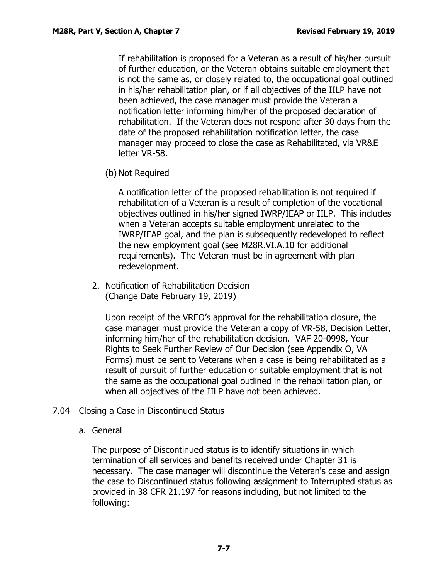If rehabilitation is proposed for a Veteran as a result of his/her pursuit of further education, or the Veteran obtains suitable employment that is not the same as, or closely related to, the occupational goal outlined in his/her rehabilitation plan, or if all objectives of the IILP have not been achieved, the case manager must provide the Veteran a notification letter informing him/her of the proposed declaration of rehabilitation. If the Veteran does not respond after 30 days from the date of the proposed rehabilitation notification letter, the case manager may proceed to close the case as Rehabilitated, via VR&E letter VR-58.

(b) Not Required

A notification letter of the proposed rehabilitation is not required if rehabilitation of a Veteran is a result of completion of the vocational objectives outlined in his/her signed IWRP/IEAP or IILP. This includes when a Veteran accepts suitable employment unrelated to the IWRP/IEAP goal, and the plan is subsequently redeveloped to reflect the new employment goal (see M28R.VI.A.10 for additional requirements). The Veteran must be in agreement with plan redevelopment.

2. Notification of Rehabilitation Decision (Change Date February 19, 2019)

Upon receipt of the VREO's approval for the rehabilitation closure, the case manager must provide the Veteran a copy of VR-58, Decision Letter, informing him/her of the rehabilitation decision. VAF 20-0998, Your Rights to Seek Further Review of Our Decision (see Appendix O, VA Forms) must be sent to Veterans when a case is being rehabilitated as a result of pursuit of further education or suitable employment that is not the same as the occupational goal outlined in the rehabilitation plan, or when all objectives of the IILP have not been achieved.

- <span id="page-8-1"></span><span id="page-8-0"></span>7.04 Closing a Case in Discontinued Status
	- a. General

The purpose of Discontinued status is to identify situations in which termination of all services and benefits received under Chapter 31 is necessary. The case manager will discontinue the Veteran's case and assign the case to Discontinued status following assignment to Interrupted status as provided in 38 CFR 21.197 for reasons including, but not limited to the following: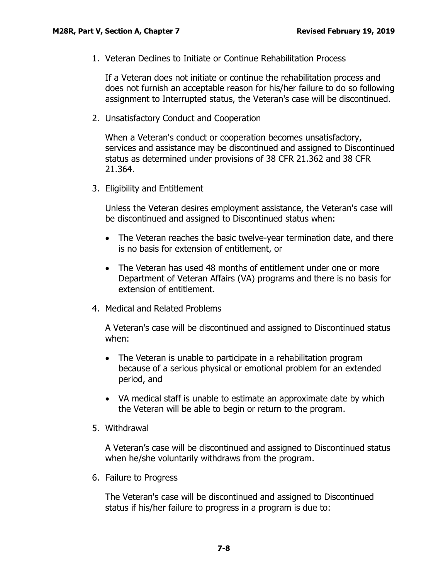1. Veteran Declines to Initiate or Continue Rehabilitation Process

If a Veteran does not initiate or continue the rehabilitation process and does not furnish an acceptable reason for his/her failure to do so following assignment to Interrupted status, the Veteran's case will be discontinued.

2. Unsatisfactory Conduct and Cooperation

When a Veteran's conduct or cooperation becomes unsatisfactory, services and assistance may be discontinued and assigned to Discontinued status as determined under provisions of 38 CFR 21.362 and 38 CFR 21.364.

3. Eligibility and Entitlement

Unless the Veteran desires employment assistance, the Veteran's case will be discontinued and assigned to Discontinued status when:

- The Veteran reaches the basic twelve-year termination date, and there is no basis for extension of entitlement, or
- The Veteran has used 48 months of entitlement under one or more Department of Veteran Affairs (VA) programs and there is no basis for extension of entitlement.
- 4. Medical and Related Problems

A Veteran's case will be discontinued and assigned to Discontinued status when:

- The Veteran is unable to participate in a rehabilitation program because of a serious physical or emotional problem for an extended period, and
- VA medical staff is unable to estimate an approximate date by which the Veteran will be able to begin or return to the program.
- 5. Withdrawal

A Veteran's case will be discontinued and assigned to Discontinued status when he/she voluntarily withdraws from the program.

6. Failure to Progress

The Veteran's case will be discontinued and assigned to Discontinued status if his/her failure to progress in a program is due to: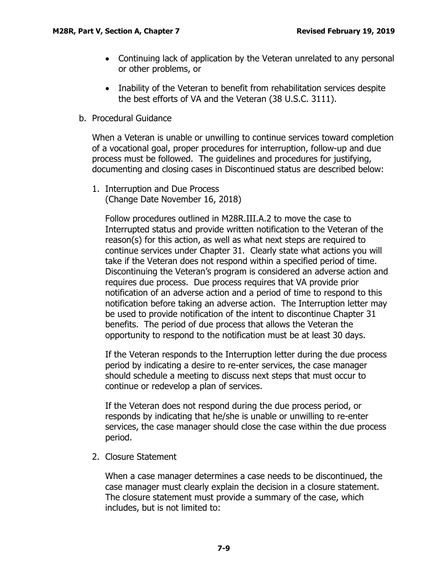- Continuing lack of application by the Veteran unrelated to any personal or other problems, or
- Inability of the Veteran to benefit from rehabilitation services despite the best efforts of VA and the Veteran (38 U.S.C. 3111).
- <span id="page-10-0"></span>b. Procedural Guidance

When a Veteran is unable or unwilling to continue services toward completion of a vocational goal, proper procedures for interruption, follow-up and due process must be followed. The guidelines and procedures for justifying, documenting and closing cases in Discontinued status are described below:

1. Interruption and Due Process (Change Date November 16, 2018)

Follow procedures outlined in M28R.III.A.2 to move the case to Interrupted status and provide written notification to the Veteran of the reason(s) for this action, as well as what next steps are required to continue services under Chapter 31. Clearly state what actions you will take if the Veteran does not respond within a specified period of time. Discontinuing the Veteran's program is considered an adverse action and requires due process. Due process requires that VA provide prior notification of an adverse action and a period of time to respond to this notification before taking an adverse action. The Interruption letter may be used to provide notification of the intent to discontinue Chapter 31 benefits. The period of due process that allows the Veteran the opportunity to respond to the notification must be at least 30 days.

If the Veteran responds to the Interruption letter during the due process period by indicating a desire to re-enter services, the case manager should schedule a meeting to discuss next steps that must occur to continue or redevelop a plan of services.

If the Veteran does not respond during the due process period, or responds by indicating that he/she is unable or unwilling to re-enter services, the case manager should close the case within the due process period.

2. Closure Statement

When a case manager determines a case needs to be discontinued, the case manager must clearly explain the decision in a closure statement. The closure statement must provide a summary of the case, which includes, but is not limited to: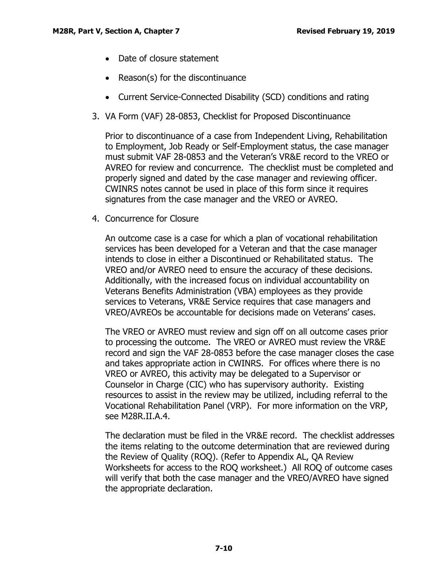- Date of closure statement
- Reason(s) for the discontinuance
- Current Service-Connected Disability (SCD) conditions and rating
- 3. VA Form (VAF) 28-0853, Checklist for Proposed Discontinuance

Prior to discontinuance of a case from Independent Living, Rehabilitation to Employment, Job Ready or Self-Employment status, the case manager must submit VAF 28-0853 and the Veteran's VR&E record to the VREO or AVREO for review and concurrence. The checklist must be completed and properly signed and dated by the case manager and reviewing officer. CWINRS notes cannot be used in place of this form since it requires signatures from the case manager and the VREO or AVREO.

4. Concurrence for Closure

An outcome case is a case for which a plan of vocational rehabilitation services has been developed for a Veteran and that the case manager intends to close in either a Discontinued or Rehabilitated status. The VREO and/or AVREO need to ensure the accuracy of these decisions. Additionally, with the increased focus on individual accountability on Veterans Benefits Administration (VBA) employees as they provide services to Veterans, VR&E Service requires that case managers and VREO/AVREOs be accountable for decisions made on Veterans' cases.

The VREO or AVREO must review and sign off on all outcome cases prior to processing the outcome. The VREO or AVREO must review the VR&E record and sign the VAF 28-0853 before the case manager closes the case and takes appropriate action in CWINRS. For offices where there is no VREO or AVREO, this activity may be delegated to a Supervisor or Counselor in Charge (CIC) who has supervisory authority. Existing resources to assist in the review may be utilized, including referral to the Vocational Rehabilitation Panel (VRP). For more information on the VRP, see M28R.II.A.4.

The declaration must be filed in the VR&E record. The checklist addresses the items relating to the outcome determination that are reviewed during the Review of Quality (ROQ). (Refer to Appendix AL, QA Review Worksheets for access to the ROQ worksheet.) All ROQ of outcome cases will verify that both the case manager and the VREO/AVREO have signed the appropriate declaration.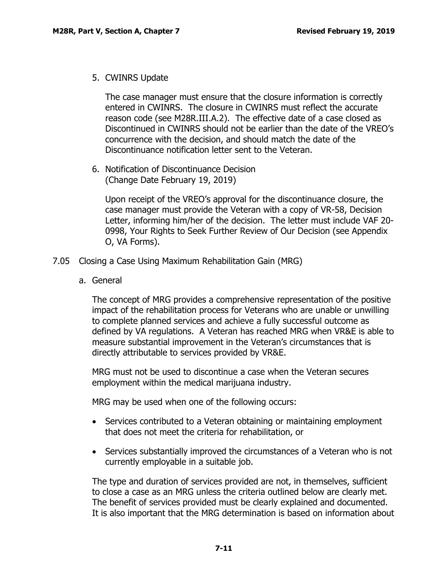5. CWINRS Update

The case manager must ensure that the closure information is correctly entered in CWINRS. The closure in CWINRS must reflect the accurate reason code (see M28R.III.A.2). The effective date of a case closed as Discontinued in CWINRS should not be earlier than the date of the VREO's concurrence with the decision, and should match the date of the Discontinuance notification letter sent to the Veteran.

6. Notification of Discontinuance Decision (Change Date February 19, 2019)

Upon receipt of the VREO's approval for the discontinuance closure, the case manager must provide the Veteran with a copy of VR-58, Decision Letter, informing him/her of the decision. The letter must include VAF 20- 0998, Your Rights to Seek Further Review of Our Decision (see Appendix O, VA Forms).

- <span id="page-12-1"></span><span id="page-12-0"></span>7.05 Closing a Case Using Maximum Rehabilitation Gain (MRG)
	- a. General

The concept of MRG provides a comprehensive representation of the positive impact of the rehabilitation process for Veterans who are unable or unwilling to complete planned services and achieve a fully successful outcome as defined by VA regulations. A Veteran has reached MRG when VR&E is able to measure substantial improvement in the Veteran's circumstances that is directly attributable to services provided by VR&E.

MRG must not be used to discontinue a case when the Veteran secures employment within the medical marijuana industry.

MRG may be used when one of the following occurs:

- Services contributed to a Veteran obtaining or maintaining employment that does not meet the criteria for rehabilitation, or
- Services substantially improved the circumstances of a Veteran who is not currently employable in a suitable job.

The type and duration of services provided are not, in themselves, sufficient to close a case as an MRG unless the criteria outlined below are clearly met. The benefit of services provided must be clearly explained and documented. It is also important that the MRG determination is based on information about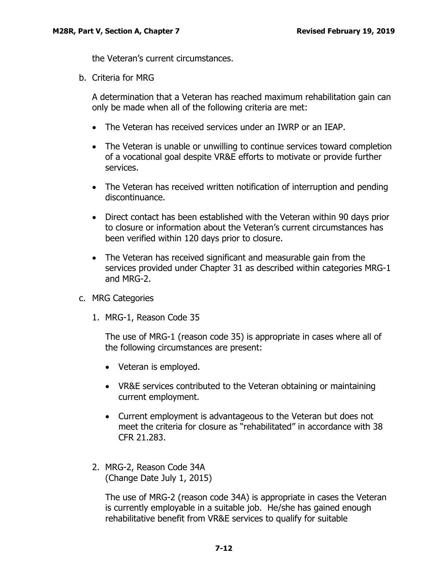the Veteran's current circumstances.

<span id="page-13-0"></span>b. Criteria for MRG

A determination that a Veteran has reached maximum rehabilitation gain can only be made when all of the following criteria are met:

- The Veteran has received services under an IWRP or an IEAP.
- The Veteran is unable or unwilling to continue services toward completion of a vocational goal despite VR&E efforts to motivate or provide further services.
- The Veteran has received written notification of interruption and pending discontinuance.
- Direct contact has been established with the Veteran within 90 days prior to closure or information about the Veteran's current circumstances has been verified within 120 days prior to closure.
- The Veteran has received significant and measurable gain from the services provided under Chapter 31 as described within categories MRG-1 and MRG-2.
- <span id="page-13-1"></span>c. MRG Categories
	- 1. MRG-1, Reason Code 35

The use of MRG-1 (reason code 35) is appropriate in cases where all of the following circumstances are present:

- Veteran is employed.
- VR&E services contributed to the Veteran obtaining or maintaining current employment.
- Current employment is advantageous to the Veteran but does not meet the criteria for closure as "rehabilitated" in accordance with 38 CFR 21.283.
- 2. MRG-2, Reason Code 34A (Change Date July 1, 2015)

The use of MRG-2 (reason code 34A) is appropriate in cases the Veteran is currently employable in a suitable job. He/she has gained enough rehabilitative benefit from VR&E services to qualify for suitable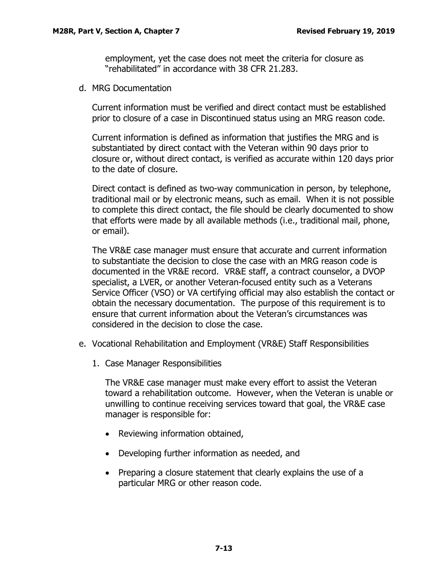employment, yet the case does not meet the criteria for closure as "rehabilitated" in accordance with 38 CFR 21.283.

<span id="page-14-0"></span>d. MRG Documentation

Current information must be verified and direct contact must be established prior to closure of a case in Discontinued status using an MRG reason code.

Current information is defined as information that justifies the MRG and is substantiated by direct contact with the Veteran within 90 days prior to closure or, without direct contact, is verified as accurate within 120 days prior to the date of closure.

Direct contact is defined as two-way communication in person, by telephone, traditional mail or by electronic means, such as email. When it is not possible to complete this direct contact, the file should be clearly documented to show that efforts were made by all available methods (i.e., traditional mail, phone, or email).

The VR&E case manager must ensure that accurate and current information to substantiate the decision to close the case with an MRG reason code is documented in the VR&E record. VR&E staff, a contract counselor, a DVOP specialist, a LVER, or another Veteran-focused entity such as a Veterans Service Officer (VSO) or VA certifying official may also establish the contact or obtain the necessary documentation. The purpose of this requirement is to ensure that current information about the Veteran's circumstances was considered in the decision to close the case.

- <span id="page-14-1"></span>e. Vocational Rehabilitation and Employment (VR&E) Staff Responsibilities
	- 1. Case Manager Responsibilities

The VR&E case manager must make every effort to assist the Veteran toward a rehabilitation outcome. However, when the Veteran is unable or unwilling to continue receiving services toward that goal, the VR&E case manager is responsible for:

- Reviewing information obtained,
- Developing further information as needed, and
- Preparing a closure statement that clearly explains the use of a particular MRG or other reason code.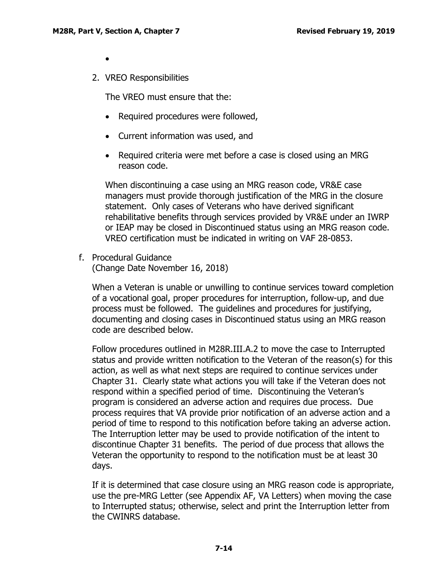•

2. VREO Responsibilities

The VREO must ensure that the:

- Required procedures were followed,
- Current information was used, and
- Required criteria were met before a case is closed using an MRG reason code.

When discontinuing a case using an MRG reason code, VR&E case managers must provide thorough justification of the MRG in the closure statement. Only cases of Veterans who have derived significant rehabilitative benefits through services provided by VR&E under an IWRP or IEAP may be closed in Discontinued status using an MRG reason code. VREO certification must be indicated in writing on VAF 28-0853.

<span id="page-15-0"></span>f. Procedural Guidance (Change Date November 16, 2018)

When a Veteran is unable or unwilling to continue services toward completion of a vocational goal, proper procedures for interruption, follow-up, and due process must be followed. The guidelines and procedures for justifying, documenting and closing cases in Discontinued status using an MRG reason code are described below.

Follow procedures outlined in M28R.III.A.2 to move the case to Interrupted status and provide written notification to the Veteran of the reason(s) for this action, as well as what next steps are required to continue services under Chapter 31. Clearly state what actions you will take if the Veteran does not respond within a specified period of time. Discontinuing the Veteran's program is considered an adverse action and requires due process. Due process requires that VA provide prior notification of an adverse action and a period of time to respond to this notification before taking an adverse action. The Interruption letter may be used to provide notification of the intent to discontinue Chapter 31 benefits. The period of due process that allows the Veteran the opportunity to respond to the notification must be at least 30 days.

If it is determined that case closure using an MRG reason code is appropriate, use the pre-MRG Letter (see Appendix AF, VA Letters) when moving the case to Interrupted status; otherwise, select and print the Interruption letter from the CWINRS database.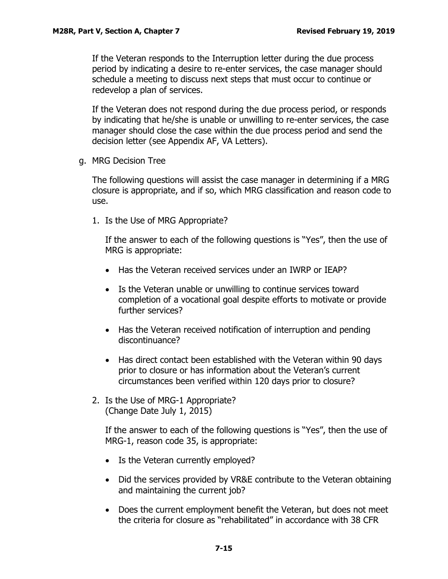If the Veteran responds to the Interruption letter during the due process period by indicating a desire to re-enter services, the case manager should schedule a meeting to discuss next steps that must occur to continue or redevelop a plan of services.

If the Veteran does not respond during the due process period, or responds by indicating that he/she is unable or unwilling to re-enter services, the case manager should close the case within the due process period and send the decision letter (see Appendix AF, VA Letters).

<span id="page-16-0"></span>g. MRG Decision Tree

The following questions will assist the case manager in determining if a MRG closure is appropriate, and if so, which MRG classification and reason code to use.

1. Is the Use of MRG Appropriate?

If the answer to each of the following questions is "Yes", then the use of MRG is appropriate:

- Has the Veteran received services under an IWRP or IEAP?
- Is the Veteran unable or unwilling to continue services toward completion of a vocational goal despite efforts to motivate or provide further services?
- Has the Veteran received notification of interruption and pending discontinuance?
- Has direct contact been established with the Veteran within 90 days prior to closure or has information about the Veteran's current circumstances been verified within 120 days prior to closure?
- 2. Is the Use of MRG-1 Appropriate? (Change Date July 1, 2015)

If the answer to each of the following questions is "Yes", then the use of MRG-1, reason code 35, is appropriate:

- Is the Veteran currently employed?
- Did the services provided by VR&E contribute to the Veteran obtaining and maintaining the current job?
- Does the current employment benefit the Veteran, but does not meet the criteria for closure as "rehabilitated" in accordance with 38 CFR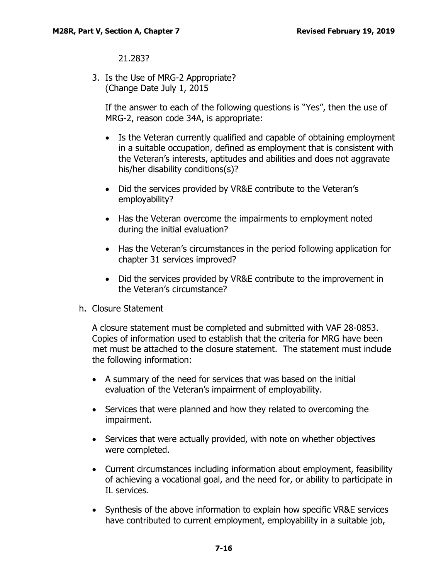## 21.283?

3. Is the Use of MRG-2 Appropriate? (Change Date July 1, 2015

If the answer to each of the following questions is "Yes", then the use of MRG-2, reason code 34A, is appropriate:

- Is the Veteran currently qualified and capable of obtaining employment in a suitable occupation, defined as employment that is consistent with the Veteran's interests, aptitudes and abilities and does not aggravate his/her disability conditions(s)?
- Did the services provided by VR&E contribute to the Veteran's employability?
- Has the Veteran overcome the impairments to employment noted during the initial evaluation?
- Has the Veteran's circumstances in the period following application for chapter 31 services improved?
- Did the services provided by VR&E contribute to the improvement in the Veteran's circumstance?
- <span id="page-17-0"></span>h. Closure Statement

A closure statement must be completed and submitted with VAF 28-0853. Copies of information used to establish that the criteria for MRG have been met must be attached to the closure statement. The statement must include the following information:

- A summary of the need for services that was based on the initial evaluation of the Veteran's impairment of employability.
- Services that were planned and how they related to overcoming the impairment.
- Services that were actually provided, with note on whether objectives were completed.
- Current circumstances including information about employment, feasibility of achieving a vocational goal, and the need for, or ability to participate in IL services.
- Synthesis of the above information to explain how specific VR&E services have contributed to current employment, employability in a suitable job,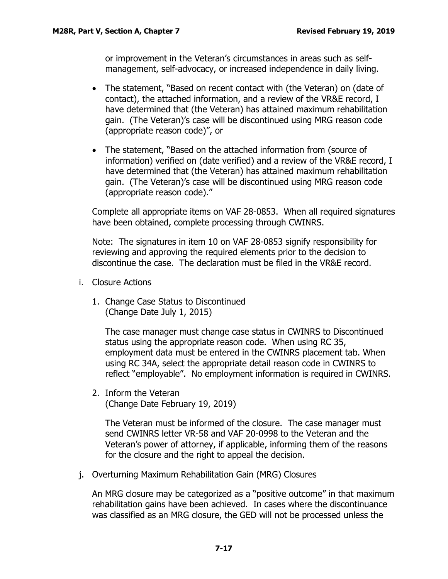or improvement in the Veteran's circumstances in areas such as selfmanagement, self-advocacy, or increased independence in daily living.

- The statement, "Based on recent contact with (the Veteran) on (date of contact), the attached information, and a review of the VR&E record, I have determined that (the Veteran) has attained maximum rehabilitation gain. (The Veteran)'s case will be discontinued using MRG reason code (appropriate reason code)", or
- The statement, "Based on the attached information from (source of information) verified on (date verified) and a review of the VR&E record, I have determined that (the Veteran) has attained maximum rehabilitation gain. (The Veteran)'s case will be discontinued using MRG reason code (appropriate reason code)."

Complete all appropriate items on VAF 28-0853. When all required signatures have been obtained, complete processing through CWINRS.

Note: The signatures in item 10 on VAF 28-0853 signify responsibility for reviewing and approving the required elements prior to the decision to discontinue the case. The declaration must be filed in the VR&E record.

- <span id="page-18-0"></span>i. Closure Actions
	- 1. Change Case Status to Discontinued (Change Date July 1, 2015)

The case manager must change case status in CWINRS to Discontinued status using the appropriate reason code. When using RC 35, employment data must be entered in the CWINRS placement tab. When using RC 34A, select the appropriate detail reason code in CWINRS to reflect "employable". No employment information is required in CWINRS.

2. Inform the Veteran (Change Date February 19, 2019)

The Veteran must be informed of the closure. The case manager must send CWINRS letter VR-58 and VAF 20-0998 to the Veteran and the Veteran's power of attorney, if applicable, informing them of the reasons for the closure and the right to appeal the decision.

<span id="page-18-1"></span>j. Overturning Maximum Rehabilitation Gain (MRG) Closures

An MRG closure may be categorized as a "positive outcome" in that maximum rehabilitation gains have been achieved. In cases where the discontinuance was classified as an MRG closure, the GED will not be processed unless the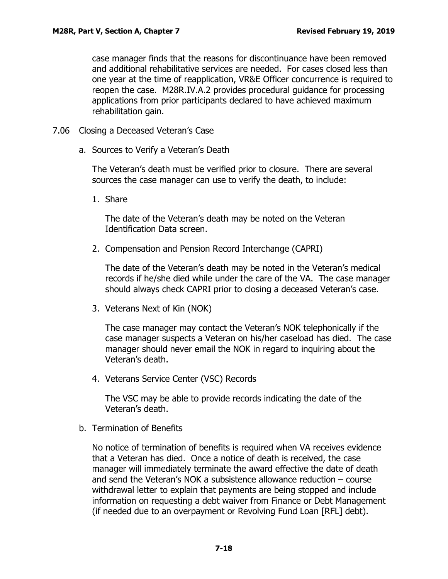case manager finds that the reasons for discontinuance have been removed and additional rehabilitative services are needed. For cases closed less than one year at the time of reapplication, VR&E Officer concurrence is required to reopen the case. M28R.IV.A.2 provides procedural guidance for processing applications from prior participants declared to have achieved maximum rehabilitation gain.

- <span id="page-19-1"></span><span id="page-19-0"></span>7.06 Closing a Deceased Veteran's Case
	- a. Sources to Verify a Veteran's Death

The Veteran's death must be verified prior to closure. There are several sources the case manager can use to verify the death, to include:

1. Share

The date of the Veteran's death may be noted on the Veteran Identification Data screen.

2. Compensation and Pension Record Interchange (CAPRI)

The date of the Veteran's death may be noted in the Veteran's medical records if he/she died while under the care of the VA. The case manager should always check CAPRI prior to closing a deceased Veteran's case.

3. Veterans Next of Kin (NOK)

The case manager may contact the Veteran's NOK telephonically if the case manager suspects a Veteran on his/her caseload has died. The case manager should never email the NOK in regard to inquiring about the Veteran's death.

4. Veterans Service Center (VSC) Records

The VSC may be able to provide records indicating the date of the Veteran's death.

<span id="page-19-2"></span>b. Termination of Benefits

No notice of termination of benefits is required when VA receives evidence that a Veteran has died. Once a notice of death is received, the case manager will immediately terminate the award effective the date of death and send the Veteran's NOK a subsistence allowance reduction – course withdrawal letter to explain that payments are being stopped and include information on requesting a debt waiver from Finance or Debt Management (if needed due to an overpayment or Revolving Fund Loan [RFL] debt).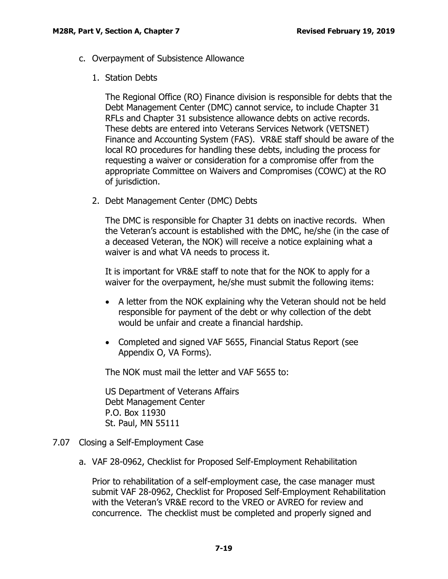- <span id="page-20-0"></span>c. Overpayment of Subsistence Allowance
	- 1. Station Debts

The Regional Office (RO) Finance division is responsible for debts that the Debt Management Center (DMC) cannot service, to include Chapter 31 RFLs and Chapter 31 subsistence allowance debts on active records. These debts are entered into Veterans Services Network (VETSNET) Finance and Accounting System (FAS). VR&E staff should be aware of the local RO procedures for handling these debts, including the process for requesting a waiver or consideration for a compromise offer from the appropriate Committee on Waivers and Compromises (COWC) at the RO of jurisdiction.

2. Debt Management Center (DMC) Debts

The DMC is responsible for Chapter 31 debts on inactive records. When the Veteran's account is established with the DMC, he/she (in the case of a deceased Veteran, the NOK) will receive a notice explaining what a waiver is and what VA needs to process it.

It is important for VR&E staff to note that for the NOK to apply for a waiver for the overpayment, he/she must submit the following items:

- A letter from the NOK explaining why the Veteran should not be held responsible for payment of the debt or why collection of the debt would be unfair and create a financial hardship.
- Completed and signed VAF 5655, Financial Status Report (see Appendix O, VA Forms).

The NOK must mail the letter and VAF 5655 to:

US Department of Veterans Affairs Debt Management Center P.O. Box 11930 St. Paul, MN 55111

- <span id="page-20-2"></span><span id="page-20-1"></span>7.07 Closing a Self-Employment Case
	- a. VAF 28-0962, Checklist for Proposed Self-Employment Rehabilitation

Prior to rehabilitation of a self-employment case, the case manager must submit VAF 28-0962, Checklist for Proposed Self-Employment Rehabilitation with the Veteran's VR&E record to the VREO or AVREO for review and concurrence. The checklist must be completed and properly signed and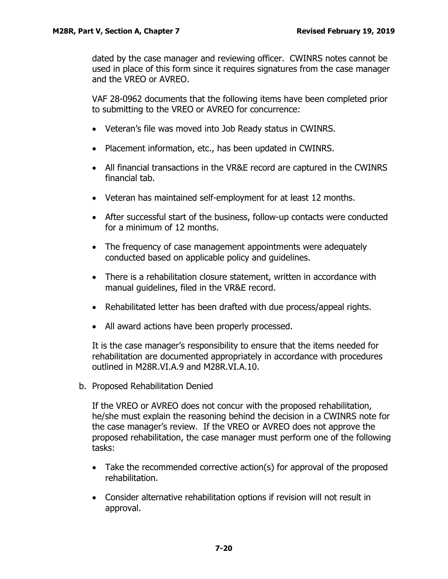dated by the case manager and reviewing officer. CWINRS notes cannot be used in place of this form since it requires signatures from the case manager and the VREO or AVREO.

VAF 28-0962 documents that the following items have been completed prior to submitting to the VREO or AVREO for concurrence:

- Veteran's file was moved into Job Ready status in CWINRS.
- Placement information, etc., has been updated in CWINRS.
- All financial transactions in the VR&E record are captured in the CWINRS financial tab.
- Veteran has maintained self-employment for at least 12 months.
- After successful start of the business, follow-up contacts were conducted for a minimum of 12 months.
- The frequency of case management appointments were adequately conducted based on applicable policy and guidelines.
- There is a rehabilitation closure statement, written in accordance with manual guidelines, filed in the VR&E record.
- Rehabilitated letter has been drafted with due process/appeal rights.
- All award actions have been properly processed.

It is the case manager's responsibility to ensure that the items needed for rehabilitation are documented appropriately in accordance with procedures outlined in M28R.VI.A.9 and M28R.VI.A.10.

<span id="page-21-0"></span>b. Proposed Rehabilitation Denied

If the VREO or AVREO does not concur with the proposed rehabilitation, he/she must explain the reasoning behind the decision in a CWINRS note for the case manager's review. If the VREO or AVREO does not approve the proposed rehabilitation, the case manager must perform one of the following tasks:

- Take the recommended corrective action(s) for approval of the proposed rehabilitation.
- Consider alternative rehabilitation options if revision will not result in approval.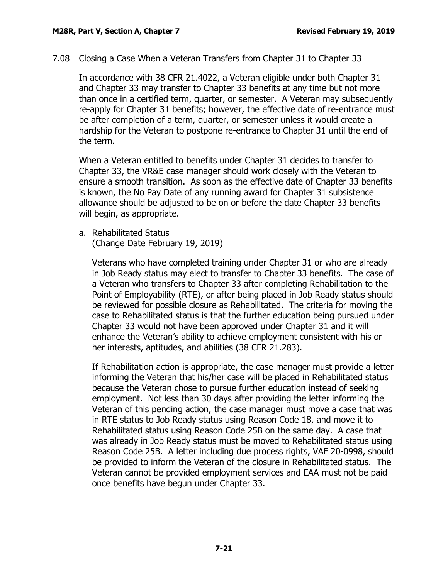<span id="page-22-0"></span>7.08 Closing a Case When a Veteran Transfers from Chapter 31 to Chapter 33

In accordance with 38 CFR 21.4022, a Veteran eligible under both Chapter 31 and Chapter 33 may transfer to Chapter 33 benefits at any time but not more than once in a certified term, quarter, or semester. A Veteran may subsequently re-apply for Chapter 31 benefits; however, the effective date of re-entrance must be after completion of a term, quarter, or semester unless it would create a hardship for the Veteran to postpone re-entrance to Chapter 31 until the end of the term.

When a Veteran entitled to benefits under Chapter 31 decides to transfer to Chapter 33, the VR&E case manager should work closely with the Veteran to ensure a smooth transition. As soon as the effective date of Chapter 33 benefits is known, the No Pay Date of any running award for Chapter 31 subsistence allowance should be adjusted to be on or before the date Chapter 33 benefits will begin, as appropriate.

<span id="page-22-1"></span>a. Rehabilitated Status

(Change Date February 19, 2019)

Veterans who have completed training under Chapter 31 or who are already in Job Ready status may elect to transfer to Chapter 33 benefits. The case of a Veteran who transfers to Chapter 33 after completing Rehabilitation to the Point of Employability (RTE), or after being placed in Job Ready status should be reviewed for possible closure as Rehabilitated. The criteria for moving the case to Rehabilitated status is that the further education being pursued under Chapter 33 would not have been approved under Chapter 31 and it will enhance the Veteran's ability to achieve employment consistent with his or her interests, aptitudes, and abilities (38 CFR 21.283).

If Rehabilitation action is appropriate, the case manager must provide a letter informing the Veteran that his/her case will be placed in Rehabilitated status because the Veteran chose to pursue further education instead of seeking employment. Not less than 30 days after providing the letter informing the Veteran of this pending action, the case manager must move a case that was in RTE status to Job Ready status using Reason Code 18, and move it to Rehabilitated status using Reason Code 25B on the same day. A case that was already in Job Ready status must be moved to Rehabilitated status using Reason Code 25B. A letter including due process rights, VAF 20-0998, should be provided to inform the Veteran of the closure in Rehabilitated status. The Veteran cannot be provided employment services and EAA must not be paid once benefits have begun under Chapter 33.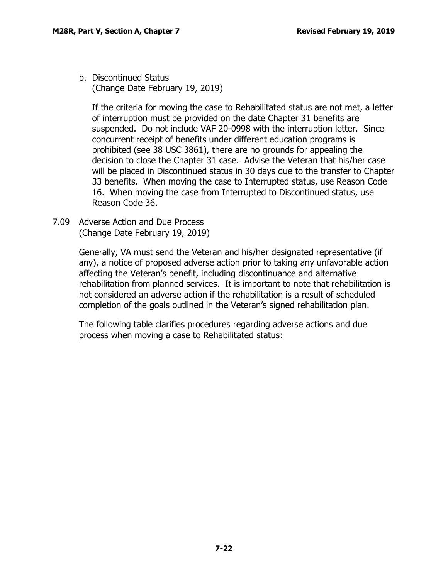<span id="page-23-0"></span>b. Discontinued Status (Change Date February 19, 2019)

If the criteria for moving the case to Rehabilitated status are not met, a letter of interruption must be provided on the date Chapter 31 benefits are suspended. Do not include VAF 20-0998 with the interruption letter. Since concurrent receipt of benefits under different education programs is prohibited (see 38 USC 3861), there are no grounds for appealing the decision to close the Chapter 31 case. Advise the Veteran that his/her case will be placed in Discontinued status in 30 days due to the transfer to Chapter 33 benefits. When moving the case to Interrupted status, use Reason Code 16. When moving the case from Interrupted to Discontinued status, use Reason Code 36.

<span id="page-23-1"></span>7.09 Adverse Action and Due Process (Change Date February 19, 2019)

> Generally, VA must send the Veteran and his/her designated representative (if any), a notice of proposed adverse action prior to taking any unfavorable action affecting the Veteran's benefit, including discontinuance and alternative rehabilitation from planned services. It is important to note that rehabilitation is not considered an adverse action if the rehabilitation is a result of scheduled completion of the goals outlined in the Veteran's signed rehabilitation plan.

The following table clarifies procedures regarding adverse actions and due process when moving a case to Rehabilitated status: